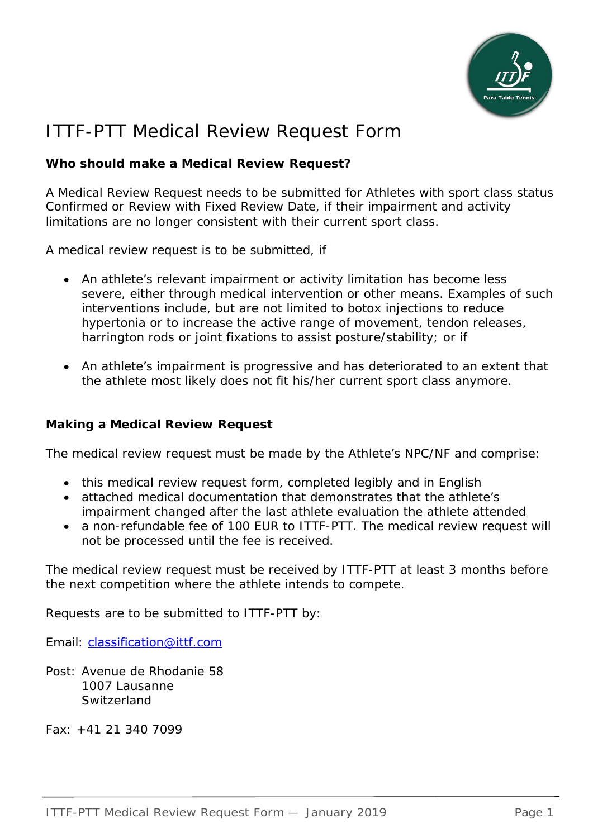

# ITTF-PTT Medical Review Request Form

## **Who should make a Medical Review Request?**

A Medical Review Request needs to be submitted for Athletes with sport class status Confirmed or Review with Fixed Review Date, if their impairment and activity limitations are no longer consistent with their current sport class.

A medical review request is to be submitted, if

- An athlete's relevant impairment or activity limitation has become less severe, either through medical intervention or other means. Examples of such interventions include, but are not limited to botox injections to reduce hypertonia or to increase the active range of movement, tendon releases, harrington rods or joint fixations to assist posture/stability; or if
- An athlete's impairment is progressive and has deteriorated to an extent that the athlete most likely does not fit his/her current sport class anymore.

#### **Making a Medical Review Request**

The medical review request must be made by the Athlete's NPC/NF and comprise:

- this medical review request form, completed legibly and in English
- attached medical documentation that demonstrates that the athlete's impairment changed after the last athlete evaluation the athlete attended
- a non-refundable fee of 100 EUR to ITTF-PTT. The medical review request will not be processed until the fee is received.

The medical review request must be received by ITTF-PTT at least 3 months before the next competition where the athlete intends to compete.

Requests are to be submitted to ITTF-PTT by:

Email: classification@ittf.com

Post: Avenue de Rhodanie 58 1007 Lausanne **Switzerland** 

Fax: +41 21 340 7099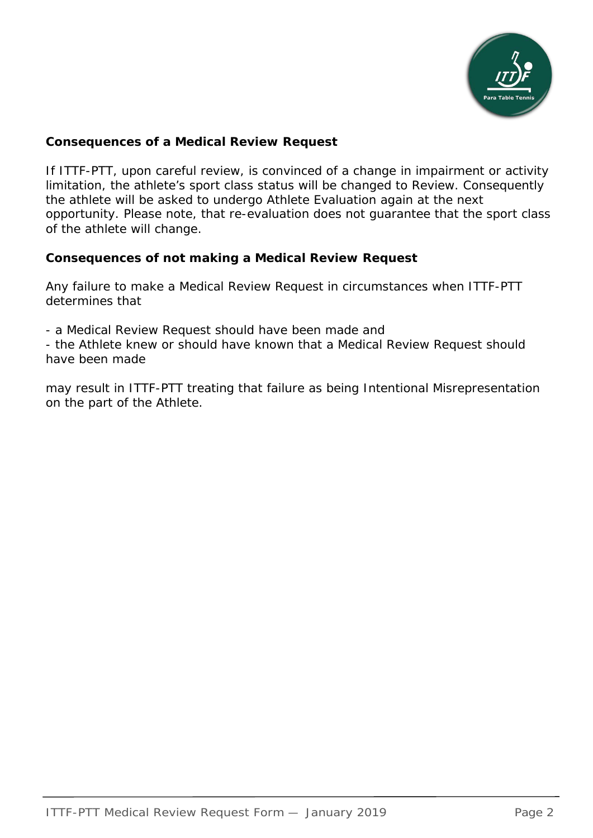

## **Consequences of a Medical Review Request**

If ITTF-PTT, upon careful review, is convinced of a change in impairment or activity limitation, the athlete's sport class status will be changed to Review. Consequently the athlete will be asked to undergo Athlete Evaluation again at the next opportunity. Please note, that re-evaluation does not guarantee that the sport class of the athlete will change.

#### **Consequences of not making a Medical Review Request**

Any failure to make a Medical Review Request in circumstances when ITTF-PTT determines that

- a Medical Review Request should have been made and

- the Athlete knew or should have known that a Medical Review Request should have been made

may result in ITTF-PTT treating that failure as being Intentional Misrepresentation on the part of the Athlete.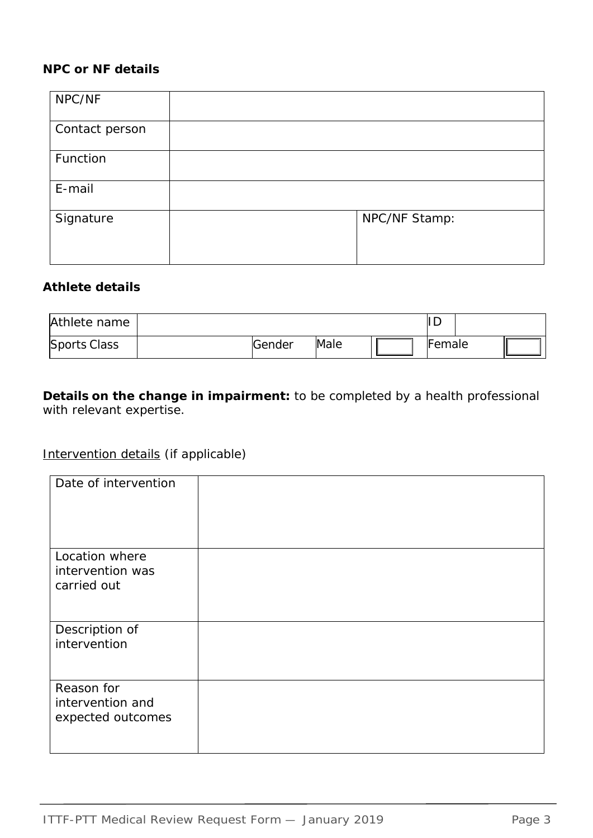## **NPC or NF details**

| NPC/NF         |               |
|----------------|---------------|
| Contact person |               |
| Function       |               |
| E-mail         |               |
| Signature      | NPC/NF Stamp: |

#### **Athlete details**

| Athlete name        |        |      | ΙL     |  |
|---------------------|--------|------|--------|--|
| <b>Sports Class</b> | Gender | Male | Female |  |

**Details on the change in impairment:** to be completed by a health professional with relevant expertise.

# Intervention details (if applicable)

| Date of intervention |  |
|----------------------|--|
| Location where       |  |
| intervention was     |  |
| carried out          |  |
| Description of       |  |
| intervention         |  |
|                      |  |
| Reason for           |  |
| intervention and     |  |
| expected outcomes    |  |